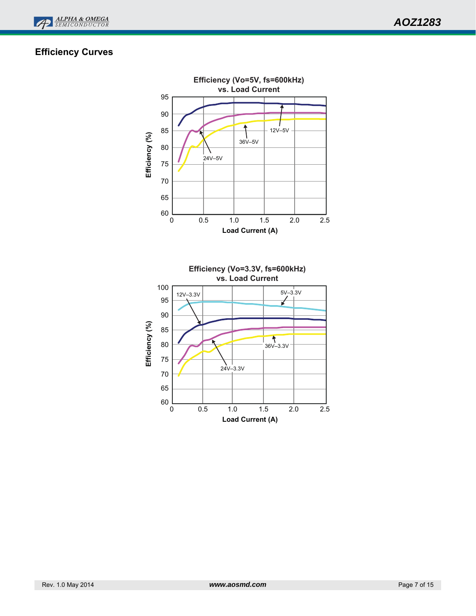

# **Efficiency Curves**

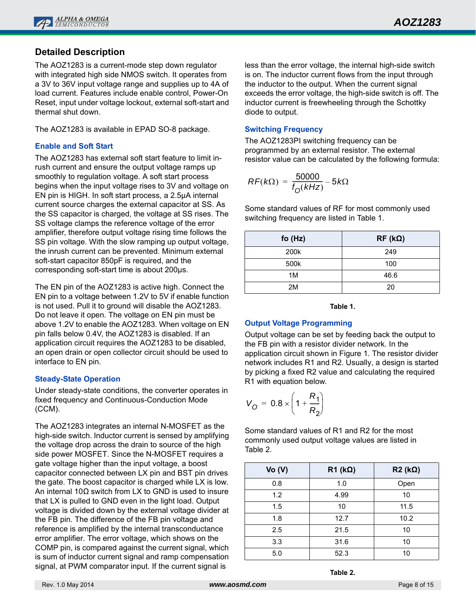

# **Detailed Description**

The AOZ1283 is a current-mode step down regulator with integrated high side NMOS switch. It operates from a 3V to 36V input voltage range and supplies up to 4A of load current. Features include enable control, Power-On Reset, input under voltage lockout, external soft-start and thermal shut down.

The AOZ1283 is available in EPAD SO-8 package.

## **Enable and Soft Start**

The AOZ1283 has external soft start feature to limit inrush current and ensure the output voltage ramps up smoothly to regulation voltage. A soft start process begins when the input voltage rises to 3V and voltage on EN pin is HIGH. In soft start process, a 2.5µA internal current source charges the external capacitor at SS. As the SS capacitor is charged, the voltage at SS rises. The SS voltage clamps the reference voltage of the error amplifier, therefore output voltage rising time follows the SS pin voltage. With the slow ramping up output voltage, the inrush current can be prevented. Minimum external soft-start capacitor 850pF is required, and the corresponding soft-start time is about 200µs.

The EN pin of the AOZ1283 is active high. Connect the EN pin to a voltage between 1.2V to 5V if enable function is not used. Pull it to ground will disable the AOZ1283. Do not leave it open. The voltage on EN pin must be above 1.2V to enable the AOZ1283. When voltage on EN pin falls below 0.4V, the AOZ1283 is disabled. If an application circuit requires the AOZ1283 to be disabled, an open drain or open collector circuit should be used to interface to EN pin.

## **Steady-State Operation**

Under steady-state conditions, the converter operates in fixed frequency and Continuous-Conduction Mode (CCM).

The AOZ1283 integrates an internal N-MOSFET as the high-side switch. Inductor current is sensed by amplifying the voltage drop across the drain to source of the high side power MOSFET. Since the N-MOSFET requires a gate voltage higher than the input voltage, a boost capacitor connected between LX pin and BST pin drives the gate. The boost capacitor is charged while LX is low. An internal 10Ω switch from LX to GND is used to insure that LX is pulled to GND even in the light load. Output voltage is divided down by the external voltage divider at the FB pin. The difference of the FB pin voltage and reference is amplified by the internal transconductance error amplifier. The error voltage, which shows on the COMP pin, is compared against the current signal, which is sum of inductor current signal and ramp compensation signal, at PWM comparator input. If the current signal is

less than the error voltage, the internal high-side switch is on. The inductor current flows from the input through the inductor to the output. When the current signal exceeds the error voltage, the high-side switch is off. The inductor current is freewheeling through the Schottky diode to output.

#### **Switching Frequency**

The AOZ1283PI switching frequency can be programmed by an external resistor. The external resistor value can be calculated by the following formula:

$$
RF(k\Omega) = \frac{50000}{f_0(kHz)} - 5k\Omega
$$

Some standard values of RF for most commonly used switching frequency are listed in Table 1.

| fo $(Hz)$ | $RF (k\Omega)$ |
|-----------|----------------|
| 200k      | 249            |
| 500k      | 100            |
| 1M        | 46.6           |
| 2M        | 20             |

**Table 1.**

## **Output Voltage Programming**

Output voltage can be set by feeding back the output to the FB pin with a resistor divider network. In the application circuit shown in Figure 1. The resistor divider network includes R1 and R2. Usually, a design is started by picking a fixed R2 value and calculating the required R1 with equation below.

$$
V_{\rm O} = 0.8 \times \left(1 + \frac{R_1}{R_2}\right)
$$

Some standard values of R1 and R2 for the most commonly used output voltage values are listed in Table 2.

| Vo (V) | $R1$ (k $\Omega$ ) | $R2 (k\Omega)$ |
|--------|--------------------|----------------|
| 0.8    | 1.0                | Open           |
| 1.2    | 4.99               | 10             |
| 1.5    | 10                 | 11.5           |
| 1.8    | 12.7               | 10.2           |
| 2.5    | 21.5               | 10             |
| 3.3    | 31.6               | 10             |
| 5.0    | 52.3               | 10             |

**Table 2.**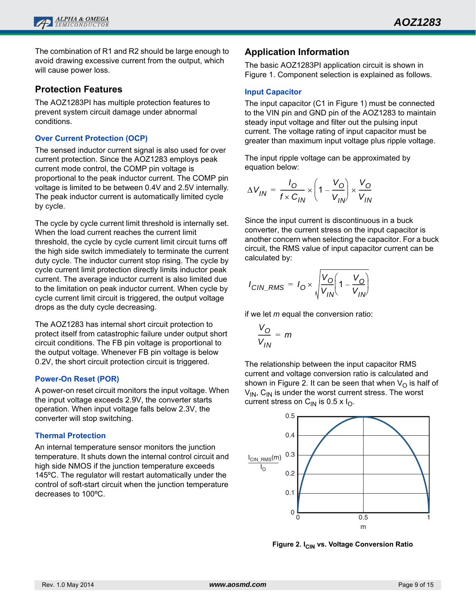

The combination of R1 and R2 should be large enough to avoid drawing excessive current from the output, which will cause power loss.

## **Protection Features**

The AOZ1283PI has multiple protection features to prevent system circuit damage under abnormal conditions.

#### **Over Current Protection (OCP)**

The sensed inductor current signal is also used for over current protection. Since the AOZ1283 employs peak current mode control, the COMP pin voltage is proportional to the peak inductor current. The COMP pin voltage is limited to be between 0.4V and 2.5V internally. The peak inductor current is automatically limited cycle by cycle.

The cycle by cycle current limit threshold is internally set. When the load current reaches the current limit threshold, the cycle by cycle current limit circuit turns off the high side switch immediately to terminate the current duty cycle. The inductor current stop rising. The cycle by cycle current limit protection directly limits inductor peak current. The average inductor current is also limited due to the limitation on peak inductor current. When cycle by cycle current limit circuit is triggered, the output voltage drops as the duty cycle decreasing.

The AOZ1283 has internal short circuit protection to protect itself from catastrophic failure under output short circuit conditions. The FB pin voltage is proportional to the output voltage. Whenever FB pin voltage is below 0.2V, the short circuit protection circuit is triggered.

## **Power-On Reset (POR)**

A power-on reset circuit monitors the input voltage. When the input voltage exceeds 2.9V, the converter starts operation. When input voltage falls below 2.3V, the converter will stop switching.

## **Thermal Protection**

An internal temperature sensor monitors the junction temperature. It shuts down the internal control circuit and high side NMOS if the junction temperature exceeds 145ºC. The regulator will restart automatically under the control of soft-start circuit when the junction temperature decreases to 100ºC.

## **Application Information**

The basic AOZ1283PI application circuit is shown in Figure 1. Component selection is explained as follows.

#### **Input Capacitor**

The input capacitor (C1 in Figure 1) must be connected to the VIN pin and GND pin of the AOZ1283 to maintain steady input voltage and filter out the pulsing input current. The voltage rating of input capacitor must be greater than maximum input voltage plus ripple voltage.

The input ripple voltage can be approximated by equation below:

$$
\Delta V_{IN} = \frac{I_O}{f \times C_{IN}} \times \left(1 - \frac{V_O}{V_{IN}}\right) \times \frac{V_O}{V_{IN}}
$$

Since the input current is discontinuous in a buck converter, the current stress on the input capacitor is another concern when selecting the capacitor. For a buck circuit, the RMS value of input capacitor current can be calculated by:

$$
I_{CIN\_RMS} = I_O \times \sqrt{\frac{V_O}{V_{IN}} \left(1 - \frac{V_O}{V_{IN}}\right)}
$$

if we let *m* equal the conversion ratio:

$$
\frac{V_O}{V_{IN}} = m
$$

The relationship between the input capacitor RMS current and voltage conversion ratio is calculated and shown in Figure 2. It can be seen that when  $V_{\Omega}$  is half of  $V_{IN}$ ,  $C_{IN}$  is under the worst current stress. The worst current stress on  $C_{IN}$  is 0.5 x  $I_{O}$ .



**Figure 2. I<sub>CIN</sub> vs. Voltage Conversion Ratio**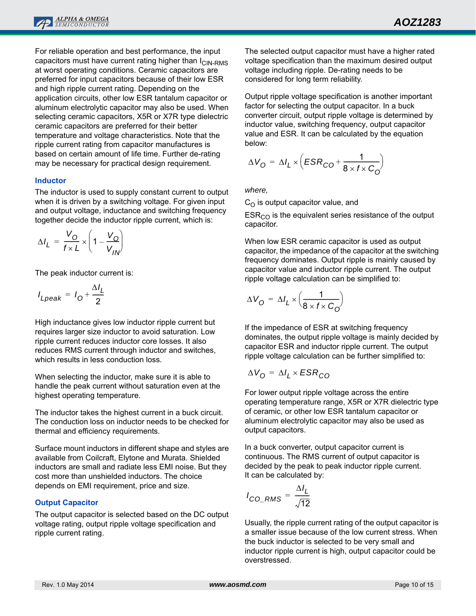For reliable operation and best performance, the input capacitors must have current rating higher than  $I_{\text{CIN-RMS}}$ at worst operating conditions. Ceramic capacitors are preferred for input capacitors because of their low ESR and high ripple current rating. Depending on the application circuits, other low ESR tantalum capacitor or aluminum electrolytic capacitor may also be used. When selecting ceramic capacitors, X5R or X7R type dielectric ceramic capacitors are preferred for their better temperature and voltage characteristics. Note that the ripple current rating from capacitor manufactures is based on certain amount of life time. Further de-rating may be necessary for practical design requirement.

#### **Inductor**

The inductor is used to supply constant current to output when it is driven by a switching voltage. For given input and output voltage, inductance and switching frequency together decide the inductor ripple current, which is:

$$
\Delta I_L = \frac{V_O}{f \times L} \times \left(1 - \frac{V_O}{V_{IN}}\right)
$$

The peak inductor current is:

$$
I_{Lpeak} = I_0 + \frac{\Delta I_L}{2}
$$

High inductance gives low inductor ripple current but requires larger size inductor to avoid saturation. Low ripple current reduces inductor core losses. It also reduces RMS current through inductor and switches, which results in less conduction loss.

When selecting the inductor, make sure it is able to handle the peak current without saturation even at the highest operating temperature.

The inductor takes the highest current in a buck circuit. The conduction loss on inductor needs to be checked for thermal and efficiency requirements.

Surface mount inductors in different shape and styles are available from Coilcraft, Elytone and Murata. Shielded inductors are small and radiate less EMI noise. But they cost more than unshielded inductors. The choice depends on EMI requirement, price and size.

#### **Output Capacitor**

The output capacitor is selected based on the DC output voltage rating, output ripple voltage specification and ripple current rating.

The selected output capacitor must have a higher rated voltage specification than the maximum desired output voltage including ripple. De-rating needs to be considered for long term reliability.

Output ripple voltage specification is another important factor for selecting the output capacitor. In a buck converter circuit, output ripple voltage is determined by inductor value, switching frequency, output capacitor value and ESR. It can be calculated by the equation below:

$$
\Delta V_{\rm O} = \Delta I_{L} \times \left( ESR_{\rm CO} + \frac{1}{8 \times f \times C_{\rm O}} \right)
$$

*where,* 

 $C_{\Omega}$  is output capacitor value, and

 $ESR<sub>CO</sub>$  is the equivalent series resistance of the output capacitor.

When low ESR ceramic capacitor is used as output capacitor, the impedance of the capacitor at the switching frequency dominates. Output ripple is mainly caused by capacitor value and inductor ripple current. The output ripple voltage calculation can be simplified to:

$$
\Delta V_{\mathbf{O}} = \Delta I_L \times \left(\frac{1}{8 \times f \times C_{\mathbf{O}}}\right)
$$

If the impedance of ESR at switching frequency dominates, the output ripple voltage is mainly decided by capacitor ESR and inductor ripple current. The output ripple voltage calculation can be further simplified to:

$$
\Delta V_{\rm O} = \Delta I_L \times ESR_{\rm CO}
$$

For lower output ripple voltage across the entire operating temperature range, X5R or X7R dielectric type of ceramic, or other low ESR tantalum capacitor or aluminum electrolytic capacitor may also be used as output capacitors.

In a buck converter, output capacitor current is continuous. The RMS current of output capacitor is decided by the peak to peak inductor ripple current. It can be calculated by:

$$
I_{CO\_RMS} = \frac{\Delta I_L}{\sqrt{12}}
$$

Usually, the ripple current rating of the output capacitor is a smaller issue because of the low current stress. When the buck inductor is selected to be very small and inductor ripple current is high, output capacitor could be overstressed.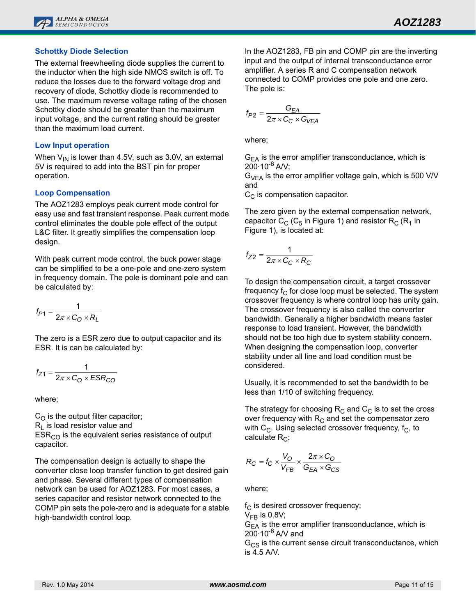## **Schottky Diode Selection**

The external freewheeling diode supplies the current to the inductor when the high side NMOS switch is off. To reduce the losses due to the forward voltage drop and recovery of diode, Schottky diode is recommended to use. The maximum reverse voltage rating of the chosen Schottky diode should be greater than the maximum input voltage, and the current rating should be greater than the maximum load current.

#### **Low Input operation**

When  $V_{\text{IN}}$  is lower than 4.5V, such as 3.0V, an external 5V is required to add into the BST pin for proper operation.

## **Loop Compensation**

The AOZ1283 employs peak current mode control for easy use and fast transient response. Peak current mode control eliminates the double pole effect of the output L&C filter. It greatly simplifies the compensation loop design.

With peak current mode control, the buck power stage can be simplified to be a one-pole and one-zero system in frequency domain. The pole is dominant pole and can be calculated by:

$$
f_{P1} = \frac{1}{2\pi \times C_0 \times R_L}
$$

The zero is a ESR zero due to output capacitor and its ESR. It is can be calculated by:

$$
f_{Z1} = \frac{1}{2\pi \times C_0 \times ESR_{CO}}
$$

where;

 $C_{\Omega}$  is the output filter capacitor;  $R<sub>L</sub>$  is load resistor value and  $ESR<sub>CO</sub>$  is the equivalent series resistance of output capacitor.

The compensation design is actually to shape the converter close loop transfer function to get desired gain and phase. Several different types of compensation network can be used for AOZ1283. For most cases, a series capacitor and resistor network connected to the COMP pin sets the pole-zero and is adequate for a stable high-bandwidth control loop.

In the AOZ1283, FB pin and COMP pin are the inverting input and the output of internal transconductance error amplifier. A series R and C compensation network connected to COMP provides one pole and one zero. The pole is:

$$
f_{P2} = \frac{G_{EA}}{2\pi \times C_C \times G_{VEA}}
$$

where;

 $G_{FA}$  is the error amplifier transconductance, which is  $200 \cdot 10^{-6}$  A/V;

 $G_{VFA}$  is the error amplifier voltage gain, which is 500 V/V and

 $C_{\text{C}}$  is compensation capacitor.

The zero given by the external compensation network, capacitor  $C_C$  ( $C_5$  in Figure 1) and resistor  $R_C$  ( $R_1$  in Figure 1), is located at:

$$
f_{Z2} = \frac{1}{2\pi \times C_C \times R_C}
$$

To design the compensation circuit, a target crossover frequency  $f_C$  for close loop must be selected. The system crossover frequency is where control loop has unity gain. The crossover frequency is also called the converter bandwidth. Generally a higher bandwidth means faster response to load transient. However, the bandwidth should not be too high due to system stability concern. When designing the compensation loop, converter stability under all line and load condition must be considered.

Usually, it is recommended to set the bandwidth to be less than 1/10 of switching frequency.

The strategy for choosing  $R_C$  and  $C_C$  is to set the cross over frequency with  $R<sub>C</sub>$  and set the compensator zero with  $C_{\text{C}}$ . Using selected crossover frequency, f<sub>C</sub>, to calculate  $R_C$ :

$$
R_C = f_C \times \frac{V_O}{V_{FB}} \times \frac{2\pi \times C_O}{G_{EA} \times G_{CS}}
$$

where;

 $f_C$  is desired crossover frequency;  $V_{FB}$  is 0.8V;  $G<sub>EA</sub>$  is the error amplifier transconductance, which is  $200 \cdot 10^{-6}$  A/V and

 $G_{CS}$  is the current sense circuit transconductance, which is 4.5 A/V.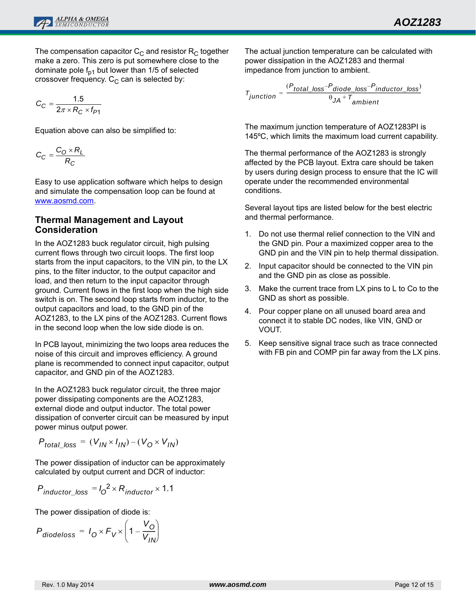

The compensation capacitor  $C_{\text{C}}$  and resistor  $R_{\text{C}}$  together make a zero. This zero is put somewhere close to the dominate pole  $f_{p1}$  but lower than 1/5 of selected crossover frequency.  $C_{\text{C}}$  can is selected by:

$$
C_C = \frac{1.5}{2\pi \times R_C \times f_{P1}}
$$

Equation above can also be simplified to:

$$
C_C = \frac{C_O \times R_L}{R_C}
$$

Easy to use application software which helps to design and simulate the compensation loop can be found at www.aosmd.com.

## **Thermal Management and Layout Consideration**

In the AOZ1283 buck regulator circuit, high pulsing current flows through two circuit loops. The first loop starts from the input capacitors, to the VIN pin, to the LX pins, to the filter inductor, to the output capacitor and load, and then return to the input capacitor through ground. Current flows in the first loop when the high side switch is on. The second loop starts from inductor, to the output capacitors and load, to the GND pin of the AOZ1283, to the LX pins of the AOZ1283. Current flows in the second loop when the low side diode is on.

In PCB layout, minimizing the two loops area reduces the noise of this circuit and improves efficiency. A ground plane is recommended to connect input capacitor, output capacitor, and GND pin of the AOZ1283.

In the AOZ1283 buck regulator circuit, the three major power dissipating components are the AOZ1283, external diode and output inductor. The total power dissipation of converter circuit can be measured by input power minus output power.

$$
P_{total\_loss} = (V_{IN} \times I_{IN}) - (V_0 \times V_{IN})
$$

The power dissipation of inductor can be approximately calculated by output current and DCR of inductor:

$$
P_{inductor\_loss} = I_0^2 \times R_{inductor} \times 1.1
$$

The power dissipation of diode is:

$$
P_{\text{diodeloss}} = I_0 \times F_V \times \left(1 - \frac{V_0}{V_{IN}}\right)
$$

The actual junction temperature can be calculated with power dissipation in the AOZ1283 and thermal impedance from junction to ambient.

$$
T_{junction} = \frac{(P_{total\_loss} - P_{diode\_loss} - P_{inductor\_loss})}{\theta J A + T_{ambient}}
$$

The maximum junction temperature of AOZ1283PI is 145ºC, which limits the maximum load current capability.

The thermal performance of the AOZ1283 is strongly affected by the PCB layout. Extra care should be taken by users during design process to ensure that the IC will operate under the recommended environmental conditions.

Several layout tips are listed below for the best electric and thermal performance.

- 1. Do not use thermal relief connection to the VIN and the GND pin. Pour a maximized copper area to the GND pin and the VIN pin to help thermal dissipation.
- 2. Input capacitor should be connected to the VIN pin and the GND pin as close as possible.
- 3. Make the current trace from LX pins to L to Co to the GND as short as possible.
- 4. Pour copper plane on all unused board area and connect it to stable DC nodes, like VIN, GND or VOUT.
- 5. Keep sensitive signal trace such as trace connected with FB pin and COMP pin far away from the LX pins.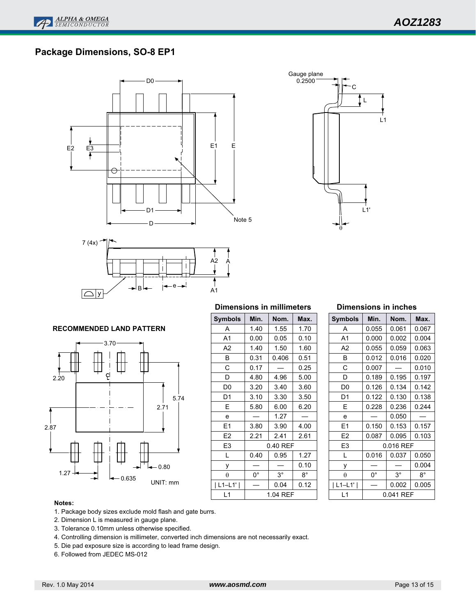# **Package Dimensions, SO-8 EP1**







#### **RECOMMENDED LAND PATTERN**



#### **Dimensions in millimeters**

| <b>Symbols</b> | Min. | Nom.        | Max.        |  |  |
|----------------|------|-------------|-------------|--|--|
| A              | 1.40 | 1.55        | 1.70        |  |  |
| A <sub>1</sub> | 0.00 | 0.05        | 0.10        |  |  |
| A2             | 1.40 | 1.50        | 1.60        |  |  |
| В              | 0.31 | 0.406       | 0.51        |  |  |
| С              | 0.17 |             | 0.25        |  |  |
| D              | 4.80 | 4.96        | 5.00        |  |  |
| D0             | 3.20 | 3.40        | 3.60        |  |  |
| D1             | 3.10 | 3.30        | 3.50        |  |  |
| E              | 5.80 | 6.00        | 6.20        |  |  |
| e              |      | 1.27        |             |  |  |
| E1             | 3.80 | 3.90        | 4.00        |  |  |
| E <sub>2</sub> | 2.21 | 2.41        | 2.61        |  |  |
| E3             |      | 0.40 REF    |             |  |  |
| L              | 0.40 | 0.95        | 1.27        |  |  |
| у              |      |             | 0.10        |  |  |
| θ              | 0°   | $3^{\circ}$ | $8^{\circ}$ |  |  |
| L1-L1'         |      | 0.04        | 0.12        |  |  |
| L1             |      | 1.04 REF    |             |  |  |
|                |      |             |             |  |  |

#### **Dimensions in inches**

| <b>Symbols</b> | Min.        | Nom.        | Max.        |  |  |  |
|----------------|-------------|-------------|-------------|--|--|--|
| А              | 0.055       | 0.061       | 0.067       |  |  |  |
| A <sub>1</sub> | 0.000       | 0.002       | 0.004       |  |  |  |
| A <sub>2</sub> | 0.055       | 0.059       | 0.063       |  |  |  |
| B              | 0.012       | 0.016       | 0.020       |  |  |  |
| С              | 0.007       |             | 0.010       |  |  |  |
| D              | 0.189       | 0.195       | 0.197       |  |  |  |
| D0             | 0.126       | 0.134       | 0.142       |  |  |  |
| D1             | 0.122       | 0.130       | 0.138       |  |  |  |
| F              | 0.228       | 0.236       | 0.244       |  |  |  |
| e              |             | 0.050       |             |  |  |  |
| E1             | 0.150       | 0.153       | 0.157       |  |  |  |
| E2             | 0.087       | 0.095       | 0.103       |  |  |  |
| E3             |             | 0.016 REF   |             |  |  |  |
| L              | 0.016       | 0.037       | 0.050       |  |  |  |
| у              |             |             | 0.004       |  |  |  |
| $\theta$       | $0^{\circ}$ | $3^{\circ}$ | $8^{\circ}$ |  |  |  |
| $L1-L1'$       |             | 0.002       | 0.005       |  |  |  |
| L1             | 0.041 REF   |             |             |  |  |  |

#### **Notes:**

- 1. Package body sizes exclude mold flash and gate burrs.
- 2. Dimension L is measured in gauge plane.
- 3. Tolerance 0.10mm unless otherwise specified.
- 4. Controlling dimension is millimeter, converted inch dimensions are not necessarily exact.
- 5. Die pad exposure size is according to lead frame design.
- 6. Followed from JEDEC MS-012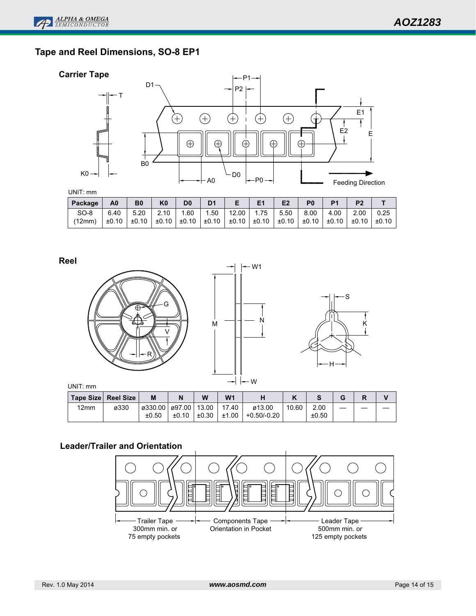# **Tape and Reel Dimensions, SO-8 EP1**





UNIT: mm

| Package | A <sub>0</sub> | <b>B0</b> | K <sub>0</sub> | D <sub>0</sub> | D <sub>1</sub> | Е                       | E <sub>1</sub> | E <sub>2</sub>        |      |       |       |       |
|---------|----------------|-----------|----------------|----------------|----------------|-------------------------|----------------|-----------------------|------|-------|-------|-------|
| $SO-8$  | 6.40           | 5.20      | 2.10           | 1.60           |                | 1.50   12.00   1.75     |                | 5.50                  | 8.00 | 4.00  | 2.00  | 0.25  |
| (12mm)  | $±0.10$        | ±0.10     | $\pm 0.10$     | $\pm 0.10$     |                | $\pm 0.10$   $\pm 0.10$ |                | ±0.10   ±0.10   ±0.10 |      | ±0.10 | ±0.10 | ±0.10 |

**Reel**



|      | Tape Size⊺ Reel Size | M                        |       | W     | W <sub>1</sub> | п             |       |       | G |  |
|------|----------------------|--------------------------|-------|-------|----------------|---------------|-------|-------|---|--|
| 12mm | ø330                 | ø330.00   ø97.00   13.00 |       |       | 17.40          | ø13.00        | 10.60 | 2.00  |   |  |
|      |                      | ±0.50                    | ±0.10 | ±0.30 | ±1.00          | $+0.50/-0.20$ |       | ±0.50 |   |  |

# **Leader/Trailer and Orientation**